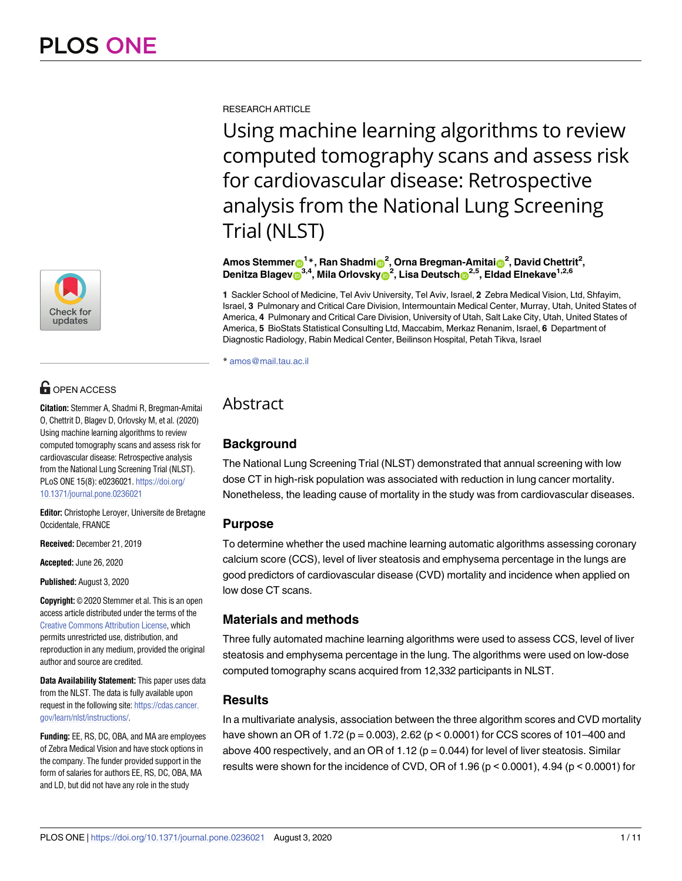

# **OPEN ACCESS**

**Citation:** Stemmer A, Shadmi R, Bregman-Amitai O, Chettrit D, Blagev D, Orlovsky M, et al. (2020) Using machine learning algorithms to review computed tomography scans and assess risk for cardiovascular disease: Retrospective analysis from the National Lung Screening Trial (NLST). PLoS ONE 15(8): e0236021. [https://doi.org/](https://doi.org/10.1371/journal.pone.0236021) [10.1371/journal.pone.0236021](https://doi.org/10.1371/journal.pone.0236021)

**Editor:** Christophe Leroyer, Universite de Bretagne Occidentale, FRANCE

**Received:** December 21, 2019

**Accepted:** June 26, 2020

**Published:** August 3, 2020

**Copyright:** © 2020 Stemmer et al. This is an open access article distributed under the terms of the Creative Commons [Attribution](http://creativecommons.org/licenses/by/4.0/) License, which permits unrestricted use, distribution, and reproduction in any medium, provided the original author and source are credited.

**Data Availability Statement:** This paper uses data from the NLST. The data is fully available upon request in the following site: [https://cdas.cancer.](https://cdas.cancer.gov/learn/nlst/instructions/) [gov/learn/nlst/instructions/](https://cdas.cancer.gov/learn/nlst/instructions/).

**Funding:** EE, RS, DC, OBA, and MA are employees of Zebra Medical Vision and have stock options in the company. The funder provided support in the form of salaries for authors EE, RS, DC, OBA, MA and LD, but did not have any role in the study

RESEARCH ARTICLE

Using machine learning algorithms to review computed tomography scans and assess risk for cardiovascular disease: Retrospective analysis from the National Lung Screening Trial (NLST)

 ${\sf Amos\; Stemmer}$   $\mathbf{\Theta}^{1\,*}$  ,  ${\sf Ran\; Shadm}$   $\mathbf{\Theta}^{2}$  ,  ${\sf Orna\; Bregman\text{-}Amital}$   $\mathbf{\Theta}^{2}$  ,  ${\sf David\; Chettrit}^{2}$  ,  $\Delta$ **Denitza Blagev** $\mathbf{D}^{3,4}$ **, Mila Orlovsky** $\mathbf{D}^2$ **, Lisa Deutsch** $\mathbf{D}^{2,5}$ **, Eldad Elnekave** $^{1,2,6}$ 

**1** Sackler School of Medicine, Tel Aviv University, Tel Aviv, Israel, **2** Zebra Medical Vision, Ltd, Shfayim, Israel, **3** Pulmonary and Critical Care Division, Intermountain Medical Center, Murray, Utah, United States of America, **4** Pulmonary and Critical Care Division, University of Utah, Salt Lake City, Utah, United States of America, **5** BioStats Statistical Consulting Ltd, Maccabim, Merkaz Renanim, Israel, **6** Department of Diagnostic Radiology, Rabin Medical Center, Beilinson Hospital, Petah Tikva, Israel

\* amos@mail.tau.ac.il

## Abstract

## **Background**

The National Lung Screening Trial (NLST) demonstrated that annual screening with low dose CT in high-risk population was associated with reduction in lung cancer mortality. Nonetheless, the leading cause of mortality in the study was from cardiovascular diseases.

## **Purpose**

To determine whether the used machine learning automatic algorithms assessing coronary calcium score (CCS), level of liver steatosis and emphysema percentage in the lungs are good predictors of cardiovascular disease (CVD) mortality and incidence when applied on low dose CT scans.

## **Materials and methods**

Three fully automated machine learning algorithms were used to assess CCS, level of liver steatosis and emphysema percentage in the lung. The algorithms were used on low-dose computed tomography scans acquired from 12,332 participants in NLST.

## **Results**

In a multivariate analysis, association between the three algorithm scores and CVD mortality have shown an OR of 1.72 ( $p = 0.003$ ), 2.62 ( $p < 0.0001$ ) for CCS scores of 101–400 and above 400 respectively, and an OR of 1.12 ( $p = 0.044$ ) for level of liver steatosis. Similar results were shown for the incidence of CVD, OR of 1.96 (p < 0.0001), 4.94 (p < 0.0001) for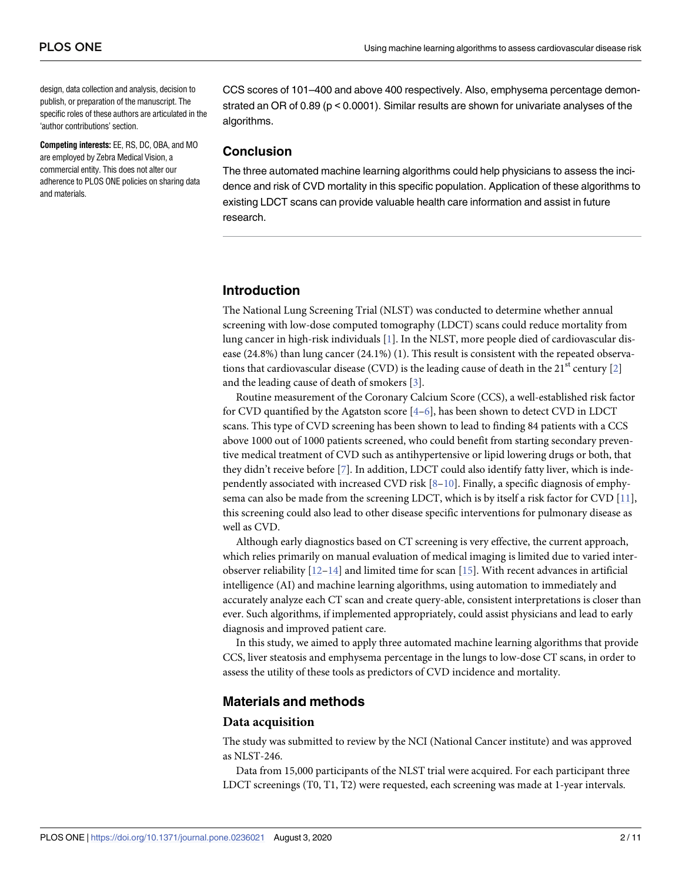<span id="page-1-0"></span>design, data collection and analysis, decision to publish, or preparation of the manuscript. The specific roles of these authors are articulated in the 'author contributions' section.

**Competing interests:** EE, RS, DC, OBA, and MO are employed by Zebra Medical Vision, a commercial entity. This does not alter our adherence to PLOS ONE policies on sharing data and materials.

CCS scores of 101–400 and above 400 respectively. Also, emphysema percentage demonstrated an OR of 0.89 (p < 0.0001). Similar results are shown for univariate analyses of the algorithms.

#### **Conclusion**

The three automated machine learning algorithms could help physicians to assess the incidence and risk of CVD mortality in this specific population. Application of these algorithms to existing LDCT scans can provide valuable health care information and assist in future research.

## **Introduction**

The National Lung Screening Trial (NLST) was conducted to determine whether annual screening with low-dose computed tomography (LDCT) scans could reduce mortality from lung cancer in high-risk individuals [\[1](#page-9-0)]. In the NLST, more people died of cardiovascular disease (24.8%) than lung cancer (24.1%) (1). This result is consistent with the repeated observa-tions that cardiovascular disease (CVD) is the leading cause of death in the [2](#page-9-0)1<sup>st</sup> century [2] and the leading cause of death of smokers [[3\]](#page-9-0).

Routine measurement of the Coronary Calcium Score (CCS), a well-established risk factor for CVD quantified by the Agatston score  $[4-6]$ , has been shown to detect CVD in LDCT scans. This type of CVD screening has been shown to lead to finding 84 patients with a CCS above 1000 out of 1000 patients screened, who could benefit from starting secondary preventive medical treatment of CVD such as antihypertensive or lipid lowering drugs or both, that they didn't receive before [\[7\]](#page-9-0). In addition, LDCT could also identify fatty liver, which is independently associated with increased CVD risk  $[8-10]$ . Finally, a specific diagnosis of emphysema can also be made from the screening LDCT, which is by itself a risk factor for CVD [[11](#page-9-0)], this screening could also lead to other disease specific interventions for pulmonary disease as well as CVD.

Although early diagnostics based on CT screening is very effective, the current approach, which relies primarily on manual evaluation of medical imaging is limited due to varied interobserver reliability  $[12-14]$  $[12-14]$  $[12-14]$  $[12-14]$  and limited time for scan  $[15]$ . With recent advances in artificial intelligence (AI) and machine learning algorithms, using automation to immediately and accurately analyze each CT scan and create query-able, consistent interpretations is closer than ever. Such algorithms, if implemented appropriately, could assist physicians and lead to early diagnosis and improved patient care.

In this study, we aimed to apply three automated machine learning algorithms that provide CCS, liver steatosis and emphysema percentage in the lungs to low-dose CT scans, in order to assess the utility of these tools as predictors of CVD incidence and mortality.

#### **Materials and methods**

#### **Data acquisition**

The study was submitted to review by the NCI (National Cancer institute) and was approved as NLST-246.

Data from 15,000 participants of the NLST trial were acquired. For each participant three LDCT screenings (T0, T1, T2) were requested, each screening was made at 1-year intervals.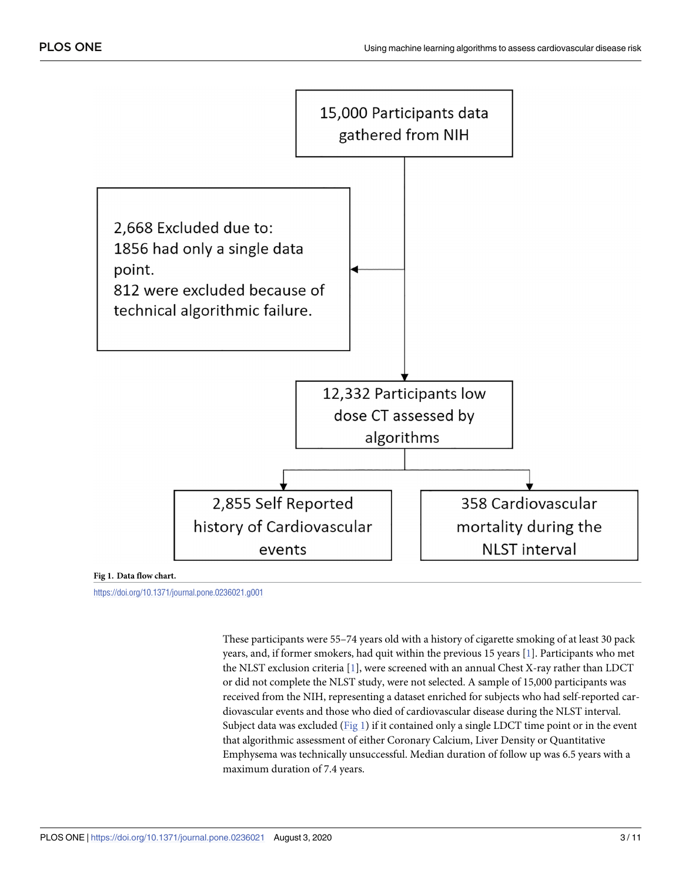<span id="page-2-0"></span>

#### **Fig 1. Data flow chart.**

<https://doi.org/10.1371/journal.pone.0236021.g001>

These participants were 55–74 years old with a history of cigarette smoking of at least 30 pack years, and, if former smokers, had quit within the previous 15 years [\[1](#page-9-0)]. Participants who met the NLST exclusion criteria [[1](#page-9-0)], were screened with an annual Chest X-ray rather than LDCT or did not complete the NLST study, were not selected. A sample of 15,000 participants was received from the NIH, representing a dataset enriched for subjects who had self-reported cardiovascular events and those who died of cardiovascular disease during the NLST interval. Subject data was excluded ( $Fig 1$ ) if it contained only a single LDCT time point or in the event that algorithmic assessment of either Coronary Calcium, Liver Density or Quantitative Emphysema was technically unsuccessful. Median duration of follow up was 6.5 years with a maximum duration of 7.4 years.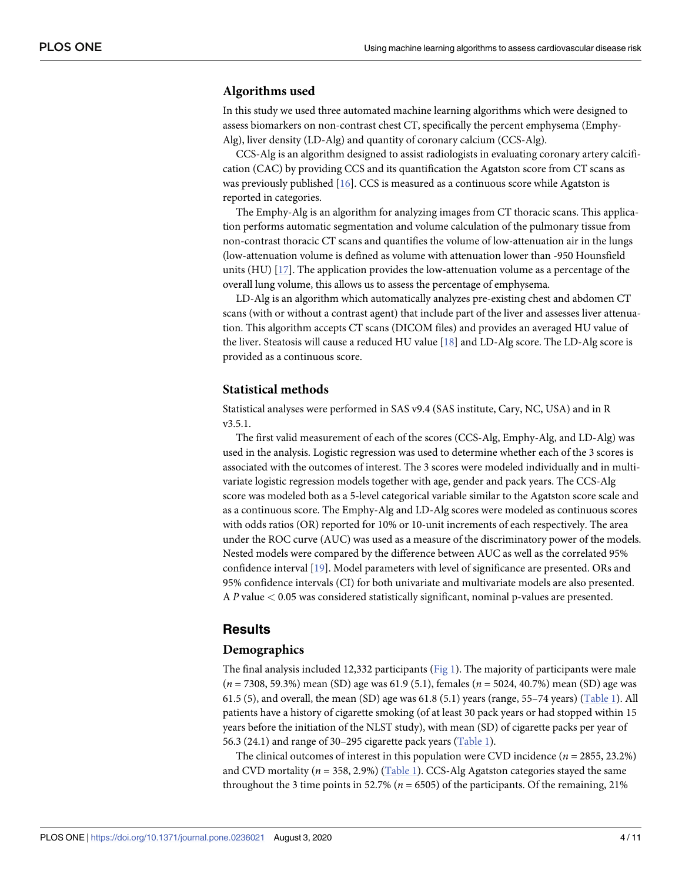#### <span id="page-3-0"></span>**Algorithms used**

In this study we used three automated machine learning algorithms which were designed to assess biomarkers on non-contrast chest CT, specifically the percent emphysema (Emphy-Alg), liver density (LD-Alg) and quantity of coronary calcium (CCS-Alg).

CCS-Alg is an algorithm designed to assist radiologists in evaluating coronary artery calcification (CAC) by providing CCS and its quantification the Agatston score from CT scans as was previously published [\[16\]](#page-9-0). CCS is measured as a continuous score while Agatston is reported in categories.

The Emphy-Alg is an algorithm for analyzing images from CT thoracic scans. This application performs automatic segmentation and volume calculation of the pulmonary tissue from non-contrast thoracic CT scans and quantifies the volume of low-attenuation air in the lungs (low-attenuation volume is defined as volume with attenuation lower than -950 Hounsfield units (HU) [[17](#page-10-0)]. The application provides the low-attenuation volume as a percentage of the overall lung volume, this allows us to assess the percentage of emphysema.

LD-Alg is an algorithm which automatically analyzes pre-existing chest and abdomen CT scans (with or without a contrast agent) that include part of the liver and assesses liver attenuation. This algorithm accepts CT scans (DICOM files) and provides an averaged HU value of the liver. Steatosis will cause a reduced HU value [\[18\]](#page-10-0) and LD-Alg score. The LD-Alg score is provided as a continuous score.

#### **Statistical methods**

Statistical analyses were performed in SAS v9.4 (SAS institute, Cary, NC, USA) and in R v3.5.1.

The first valid measurement of each of the scores (CCS-Alg, Emphy-Alg, and LD-Alg) was used in the analysis. Logistic regression was used to determine whether each of the 3 scores is associated with the outcomes of interest. The 3 scores were modeled individually and in multivariate logistic regression models together with age, gender and pack years. The CCS-Alg score was modeled both as a 5-level categorical variable similar to the Agatston score scale and as a continuous score. The Emphy-Alg and LD-Alg scores were modeled as continuous scores with odds ratios (OR) reported for 10% or 10-unit increments of each respectively. The area under the ROC curve (AUC) was used as a measure of the discriminatory power of the models. Nested models were compared by the difference between AUC as well as the correlated 95% confidence interval [\[19\]](#page-10-0). Model parameters with level of significance are presented. ORs and 95% confidence intervals (CI) for both univariate and multivariate models are also presented. A *P* value *<* 0.05 was considered statistically significant, nominal p-values are presented.

#### **Results**

#### **Demographics**

The final analysis included 12,332 participants [\(Fig](#page-2-0) 1). The majority of participants were male (*n* = 7308, 59.3%) mean (SD) age was 61.9 (5.1), females (*n* = 5024, 40.7%) mean (SD) age was 61.5 (5), and overall, the mean (SD) age was 61.8 (5.1) years (range,  $55-74$  years) [\(Table](#page-4-0) 1). All patients have a history of cigarette smoking (of at least 30 pack years or had stopped within 15 years before the initiation of the NLST study), with mean (SD) of cigarette packs per year of 56.3 (24.1) and range of 30–295 cigarette pack years ([Table](#page-4-0) 1).

The clinical outcomes of interest in this population were CVD incidence ( $n = 2855, 23.2\%$ ) and CVD mortality  $(n = 358, 2.9%)$  ([Table](#page-4-0) 1). CCS-Alg Agatston categories stayed the same throughout the 3 time points in 52.7% ( $n = 6505$ ) of the participants. Of the remaining, 21%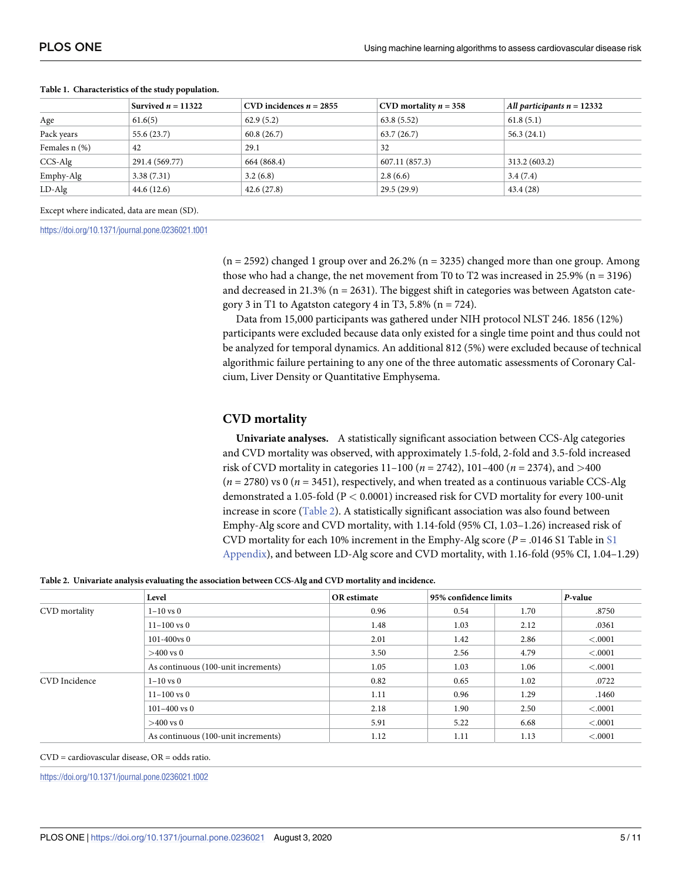|                    | Survived $n = 11322$ | CVD incidences $n = 2855$ | CVD mortality $n = 358$ | All participants $n = 12332$ |
|--------------------|----------------------|---------------------------|-------------------------|------------------------------|
| Age                | 61.6(5)              | 62.9(5.2)                 | 63.8(5.52)              | 61.8(5.1)                    |
| Pack years         | 55.6 (23.7)          | 60.8(26.7)                | 63.7(26.7)              | 56.3(24.1)                   |
| Females $n$ $(\%)$ | 42                   | 29.1                      | 32                      |                              |
| $CCS-Alg$          | 291.4 (569.77)       | 664 (868.4)               | 607.11 (857.3)          | 313.2 (603.2)                |
| Emphy-Alg          | 3.38(7.31)           | 3.2(6.8)                  | 2.8(6.6)                | 3.4(7.4)                     |
| $LD-Alg$           | 44.6 (12.6)          | 42.6(27.8)                | 29.5(29.9)              | 43.4(28)                     |

#### <span id="page-4-0"></span>**[Table](#page-3-0) 1. Characteristics of the study population.**

Except where indicated, data are mean (SD).

<https://doi.org/10.1371/journal.pone.0236021.t001>

 $(n = 2592)$  changed 1 group over and 26.2%  $(n = 3235)$  changed more than one group. Among those who had a change, the net movement from T0 to T2 was increased in 25.9% ( $n = 3196$ ) and decreased in 21.3% ( $n = 2631$ ). The biggest shift in categories was between Agatston category 3 in T1 to Agatston category 4 in T3, 5.8% ( $n = 724$ ).

Data from 15,000 participants was gathered under NIH protocol NLST 246. 1856 (12%) participants were excluded because data only existed for a single time point and thus could not be analyzed for temporal dynamics. An additional 812 (5%) were excluded because of technical algorithmic failure pertaining to any one of the three automatic assessments of Coronary Calcium, Liver Density or Quantitative Emphysema.

#### **CVD mortality**

**Univariate analyses.** A statistically significant association between CCS-Alg categories and CVD mortality was observed, with approximately 1.5-fold, 2-fold and 3.5-fold increased risk of CVD mortality in categories 11–100 (*n* = 2742), 101–400 (*n* = 2374), and *>*400 (*n* = 2780) vs 0 (*n* = 3451), respectively, and when treated as a continuous variable CCS-Alg demonstrated a 1.05-fold (P *<* 0.0001) increased risk for CVD mortality for every 100-unit increase in score (Table 2). A statistically significant association was also found between Emphy-Alg score and CVD mortality, with 1.14-fold (95% CI, 1.03–1.26) increased risk of CVD mortality for each 10% increment in the Emphy-Alg score  $(P = .0146 S1$  $(P = .0146 S1$  Table in S1 [Appendix\)](#page-8-0), and between LD-Alg score and CVD mortality, with 1.16-fold (95% CI, 1.04–1.29)

**Table 2. Univariate analysis evaluating the association between CCS-Alg and CVD mortality and incidence.**

|               | Level                               | OR estimate | 95% confidence limits |      | P-value |
|---------------|-------------------------------------|-------------|-----------------------|------|---------|
| CVD mortality | $1 - 10$ vs 0                       | 0.96        | 0.54                  | 1.70 | .8750   |
|               | $11 - 100$ vs 0                     | 1.48        | 1.03                  | 2.12 | .0361   |
|               | $101 - 400$ vs $0$                  | 2.01        | 1.42                  | 2.86 | < .0001 |
|               | $>400$ vs 0                         | 3.50        | 2.56                  | 4.79 | < .0001 |
|               | As continuous (100-unit increments) | 1.05        | 1.03                  | 1.06 | < .0001 |
| CVD Incidence | $1 - 10$ vs 0                       | 0.82        | 0.65                  | 1.02 | .0722   |
|               | $11 - 100$ vs 0                     | 1.11        | 0.96                  | 1.29 | .1460   |
|               | $101 - 400$ vs 0                    | 2.18        | 1.90                  | 2.50 | < .0001 |
|               | $>400$ vs 0                         | 5.91        | 5.22                  | 6.68 | < .0001 |
|               | As continuous (100-unit increments) | 1.12        | 1.11                  | 1.13 | < .0001 |

CVD = cardiovascular disease, OR = odds ratio.

<https://doi.org/10.1371/journal.pone.0236021.t002>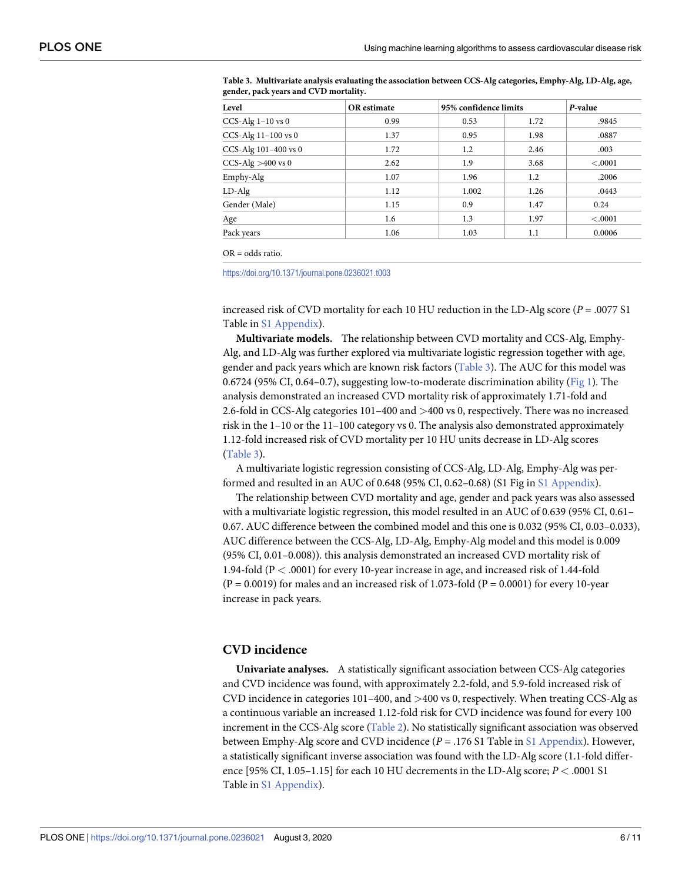| Level                   | <b>OR</b> estimate |       | 95% confidence limits |         |
|-------------------------|--------------------|-------|-----------------------|---------|
| $CCS-Alg$ 1-10 vs 0     | 0.99               | 0.53  | 1.72                  | .9845   |
| CCS-Alg $11-100$ vs $0$ | 1.37               | 0.95  | 1.98                  | .0887   |
| CCS-Alg 101-400 vs 0    | 1.72               | 1.2   | 2.46                  | .003    |
| CCS-Alg $>400$ vs 0     | 2.62               | 1.9   | 3.68                  | < .0001 |
| Emphy-Alg               | 1.07               | 1.96  | 1.2                   | .2006   |
| $LD-Alg$                | 1.12               | 1.002 | 1.26                  | .0443   |
| Gender (Male)           | 1.15               | 0.9   | 1.47                  | 0.24    |
| Age                     | 1.6                | 1.3   | 1.97                  | < .0001 |
| Pack years              | 1.06               | 1.03  | 1.1                   | 0.0006  |

**Table 3. Multivariate analysis evaluating the association between CCS-Alg categories, Emphy-Alg, LD-Alg, age, gender, pack years and CVD mortality.**

OR = odds ratio.

<https://doi.org/10.1371/journal.pone.0236021.t003>

increased risk of CVD mortality for each 10 HU reduction in the LD-Alg score (*P* = .0077 S1 Table in S1 [Appendix\)](#page-8-0).

**Multivariate models.** The relationship between CVD mortality and CCS-Alg, Emphy-Alg, and LD-Alg was further explored via multivariate logistic regression together with age, gender and pack years which are known risk factors (Table 3). The AUC for this model was 0.6724 (95% CI, 0.64–0.7), suggesting low-to-moderate discrimination ability [\(Fig](#page-2-0) 1). The analysis demonstrated an increased CVD mortality risk of approximately 1.71-fold and 2.6-fold in CCS-Alg categories 101–400 and *>*400 vs 0, respectively. There was no increased risk in the 1–10 or the 11–100 category vs 0. The analysis also demonstrated approximately 1.12-fold increased risk of CVD mortality per 10 HU units decrease in LD-Alg scores (Table 3).

A multivariate logistic regression consisting of CCS-Alg, LD-Alg, Emphy-Alg was performed and resulted in an AUC of 0.648 (95% CI, 0.62–0.68) (S1 Fig in S1 [Appendix](#page-8-0)).

The relationship between CVD mortality and age, gender and pack years was also assessed with a multivariate logistic regression, this model resulted in an AUC of 0.639 (95% CI, 0.61– 0.67. AUC difference between the combined model and this one is 0.032 (95% CI, 0.03–0.033), AUC difference between the CCS-Alg, LD-Alg, Emphy-Alg model and this model is 0.009 (95% CI, 0.01–0.008)). this analysis demonstrated an increased CVD mortality risk of 1.94-fold (P *<* .0001) for every 10-year increase in age, and increased risk of 1.44-fold  $(P = 0.0019)$  for males and an increased risk of 1.073-fold  $(P = 0.0001)$  for every 10-year increase in pack years.

#### **CVD incidence**

**Univariate analyses.** A statistically significant association between CCS-Alg categories and CVD incidence was found, with approximately 2.2-fold, and 5.9-fold increased risk of CVD incidence in categories 101–400, and *>*400 vs 0, respectively. When treating CCS-Alg as a continuous variable an increased 1.12-fold risk for CVD incidence was found for every 100 increment in the CCS-Alg score ([Table](#page-4-0) 2). No statistically significant association was observed between Emphy-Alg score and CVD incidence  $(P = .176 S1$  Table in S1 [Appendix\)](#page-8-0). However, a statistically significant inverse association was found with the LD-Alg score (1.1-fold difference [95% CI, 1.05–1.15] for each 10 HU decrements in the LD-Alg score; *P <* .0001 S1 Table in S1 [Appendix\)](#page-8-0).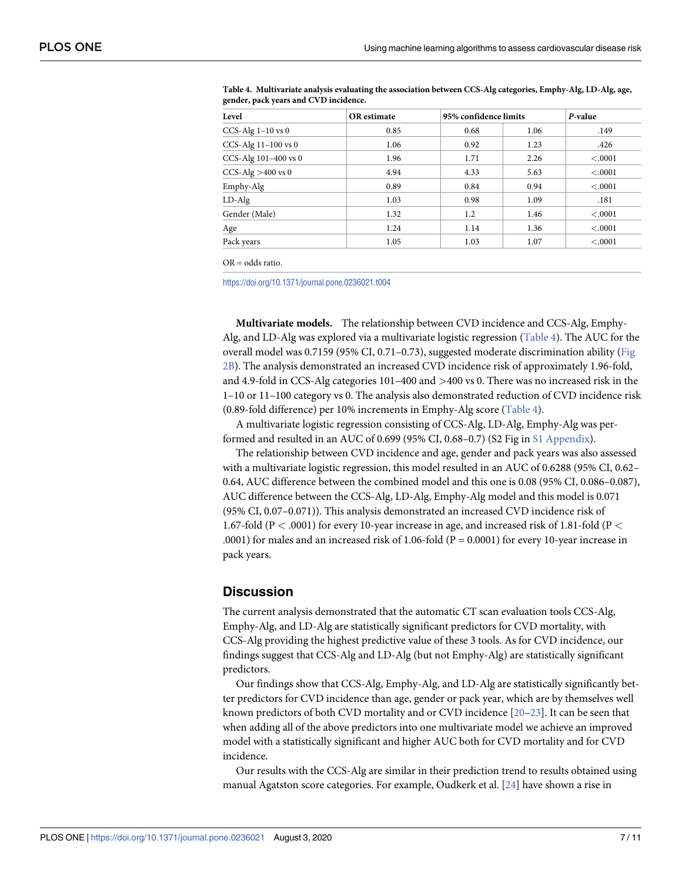| Level                   | <b>OR</b> estimate |      | 95% confidence limits |         |
|-------------------------|--------------------|------|-----------------------|---------|
| $CCS-Alg$ 1-10 vs 0     | 0.85               | 0.68 | 1.06                  | .149    |
| CCS-Alg $11-100$ vs $0$ | 1.06               | 0.92 | 1.23                  | .426    |
| CCS-Alg 101-400 vs 0    | 1.96               | 1.71 | 2.26                  | < .0001 |
| CCS-Alg $>400$ vs 0     | 4.94               | 4.33 | 5.63                  | < .0001 |
| Emphy-Alg               | 0.89               | 0.84 | 0.94                  | < .0001 |
| $LD-Alg$                | 1.03               | 0.98 | 1.09                  | .181    |
| Gender (Male)           | 1.32               | 1.2  | 1.46                  | < .0001 |
| Age                     | 1.24               | 1.14 | 1.36                  | < .0001 |
| Pack years              | 1.05               | 1.03 | 1.07                  | < .0001 |

<span id="page-6-0"></span>**Table 4. Multivariate analysis evaluating the association between CCS-Alg categories, Emphy-Alg, LD-Alg, age, gender, pack years and CVD incidence.**

 $OR = odds ratio$ .

<https://doi.org/10.1371/journal.pone.0236021.t004>

**Multivariate models.** The relationship between CVD incidence and CCS-Alg, Emphy-Alg, and LD-Alg was explored via a multivariate logistic regression (Table 4). The AUC for the overall model was 0.7159 (95% CI, 0.71–0.73), suggested moderate discrimination ability ([Fig](#page-7-0) [2B\)](#page-7-0). The analysis demonstrated an increased CVD incidence risk of approximately 1.96-fold, and 4.9-fold in CCS-Alg categories 101–400 and *>*400 vs 0. There was no increased risk in the 1–10 or 11–100 category vs 0. The analysis also demonstrated reduction of CVD incidence risk (0.89-fold difference) per 10% increments in Emphy-Alg score (Table 4).

A multivariate logistic regression consisting of CCS-Alg, LD-Alg, Emphy-Alg was performed and resulted in an AUC of 0.699 (95% CI, 0.68–0.7) (S2 Fig in S1 [Appendix\)](#page-8-0).

The relationship between CVD incidence and age, gender and pack years was also assessed with a multivariate logistic regression, this model resulted in an AUC of 0.6288 (95% CI, 0.62– 0.64, AUC difference between the combined model and this one is 0.08 (95% CI, 0.086–0.087), AUC difference between the CCS-Alg, LD-Alg, Emphy-Alg model and this model is 0.071 (95% CI, 0.07–0.071)). This analysis demonstrated an increased CVD incidence risk of 1.67-fold (P *<* .0001) for every 10-year increase in age, and increased risk of 1.81-fold (P *<* .0001) for males and an increased risk of 1.06-fold ( $P = 0.0001$ ) for every 10-year increase in pack years.

#### **Discussion**

The current analysis demonstrated that the automatic CT scan evaluation tools CCS-Alg, Emphy-Alg, and LD-Alg are statistically significant predictors for CVD mortality, with CCS-Alg providing the highest predictive value of these 3 tools. As for CVD incidence, our findings suggest that CCS-Alg and LD-Alg (but not Emphy-Alg) are statistically significant predictors.

Our findings show that CCS-Alg, Emphy-Alg, and LD-Alg are statistically significantly better predictors for CVD incidence than age, gender or pack year, which are by themselves well known predictors of both CVD mortality and or CVD incidence [[20–23\]](#page-10-0). It can be seen that when adding all of the above predictors into one multivariate model we achieve an improved model with a statistically significant and higher AUC both for CVD mortality and for CVD incidence.

Our results with the CCS-Alg are similar in their prediction trend to results obtained using manual Agatston score categories. For example, Oudkerk et al. [[24](#page-10-0)] have shown a rise in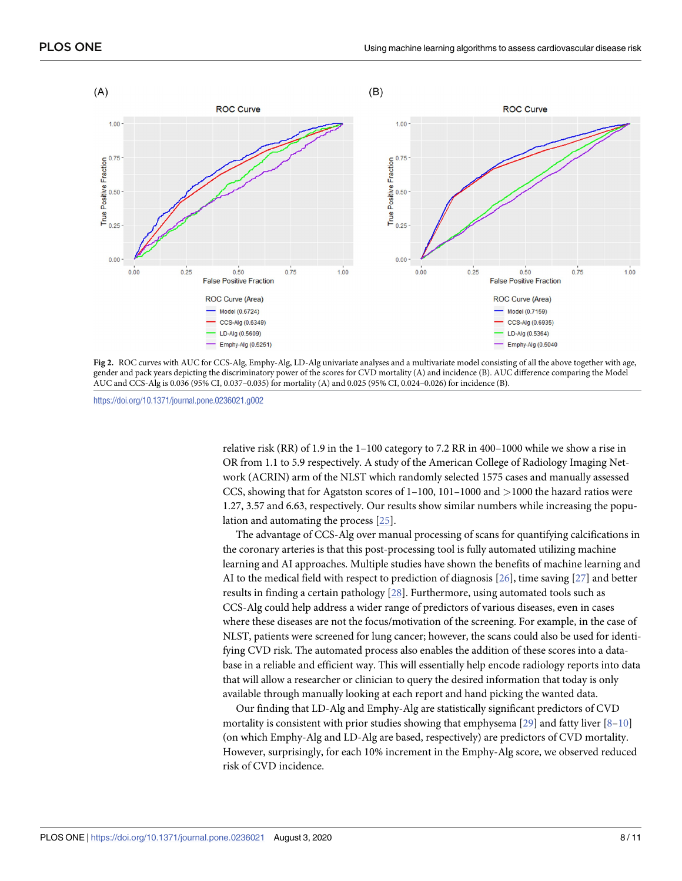<span id="page-7-0"></span>

**[Fig](#page-6-0) 2.** ROC curves with AUC for CCS-Alg, Emphy-Alg, LD-Alg univariate analyses and a multivariate model consisting of all the above together with age, gender and pack years depicting the discriminatory power of the scores for CVD mortality (A) and incidence (B). AUC difference comparing the Model AUC and CCS-Alg is 0.036 (95% CI, 0.037–0.035) for mortality (A) and 0.025 (95% CI, 0.024–0.026) for incidence (B).

<https://doi.org/10.1371/journal.pone.0236021.g002>

relative risk (RR) of 1.9 in the 1–100 category to 7.2 RR in 400–1000 while we show a rise in OR from 1.1 to 5.9 respectively. A study of the American College of Radiology Imaging Network (ACRIN) arm of the NLST which randomly selected 1575 cases and manually assessed CCS, showing that for Agatston scores of 1–100, 101–1000 and *>*1000 the hazard ratios were 1.27, 3.57 and 6.63, respectively. Our results show similar numbers while increasing the population and automating the process [[25](#page-10-0)].

The advantage of CCS-Alg over manual processing of scans for quantifying calcifications in the coronary arteries is that this post-processing tool is fully automated utilizing machine learning and AI approaches. Multiple studies have shown the benefits of machine learning and AI to the medical field with respect to prediction of diagnosis [\[26\]](#page-10-0), time saving [[27](#page-10-0)] and better results in finding a certain pathology [\[28\]](#page-10-0). Furthermore, using automated tools such as CCS-Alg could help address a wider range of predictors of various diseases, even in cases where these diseases are not the focus/motivation of the screening. For example, in the case of NLST, patients were screened for lung cancer; however, the scans could also be used for identifying CVD risk. The automated process also enables the addition of these scores into a database in a reliable and efficient way. This will essentially help encode radiology reports into data that will allow a researcher or clinician to query the desired information that today is only available through manually looking at each report and hand picking the wanted data.

Our finding that LD-Alg and Emphy-Alg are statistically significant predictors of CVD mortality is consistent with prior studies showing that emphysema [[29](#page-10-0)] and fatty liver  $[8-10]$ (on which Emphy-Alg and LD-Alg are based, respectively) are predictors of CVD mortality. However, surprisingly, for each 10% increment in the Emphy-Alg score, we observed reduced risk of CVD incidence.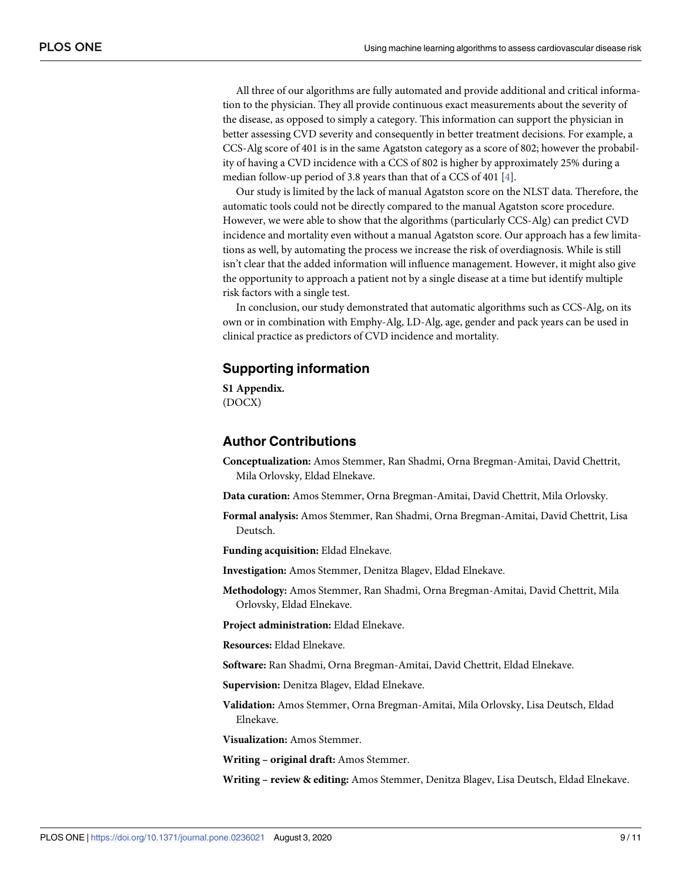<span id="page-8-0"></span>All three of our algorithms are fully automated and provide additional and critical information to the physician. They all provide continuous exact measurements about the severity of the disease, as opposed to simply a category. This information can support the physician in better assessing CVD severity and consequently in better treatment decisions. For example, a CCS-Alg score of 401 is in the same Agatston category as a score of 802; however the probability of having a CVD incidence with a CCS of 802 is higher by approximately 25% during a median follow-up period of 3.8 years than that of a CCS of 401 [\[4](#page-9-0)].

Our study is limited by the lack of manual Agatston score on the NLST data. Therefore, the automatic tools could not be directly compared to the manual Agatston score procedure. However, we were able to show that the algorithms (particularly CCS-Alg) can predict CVD incidence and mortality even without a manual Agatston score. Our approach has a few limitations as well, by automating the process we increase the risk of overdiagnosis. While is still isn't clear that the added information will influence management. However, it might also give the opportunity to approach a patient not by a single disease at a time but identify multiple risk factors with a single test.

In conclusion, our study demonstrated that automatic algorithms such as CCS-Alg, on its own or in combination with Emphy-Alg, LD-Alg, age, gender and pack years can be used in clinical practice as predictors of CVD incidence and mortality.

#### **Supporting information**

**S1 [Appendix](http://www.plosone.org/article/fetchSingleRepresentation.action?uri=info:doi/10.1371/journal.pone.0236021.s001).** (DOCX)

#### **Author Contributions**

**Conceptualization:** Amos Stemmer, Ran Shadmi, Orna Bregman-Amitai, David Chettrit, Mila Orlovsky, Eldad Elnekave.

**Data curation:** Amos Stemmer, Orna Bregman-Amitai, David Chettrit, Mila Orlovsky.

**Formal analysis:** Amos Stemmer, Ran Shadmi, Orna Bregman-Amitai, David Chettrit, Lisa Deutsch.

**Funding acquisition:** Eldad Elnekave.

**Investigation:** Amos Stemmer, Denitza Blagev, Eldad Elnekave.

**Methodology:** Amos Stemmer, Ran Shadmi, Orna Bregman-Amitai, David Chettrit, Mila Orlovsky, Eldad Elnekave.

**Project administration:** Eldad Elnekave.

**Resources:** Eldad Elnekave.

**Software:** Ran Shadmi, Orna Bregman-Amitai, David Chettrit, Eldad Elnekave.

**Supervision:** Denitza Blagev, Eldad Elnekave.

**Validation:** Amos Stemmer, Orna Bregman-Amitai, Mila Orlovsky, Lisa Deutsch, Eldad Elnekave.

**Visualization:** Amos Stemmer.

**Writing – original draft:** Amos Stemmer.

**Writing – review & editing:** Amos Stemmer, Denitza Blagev, Lisa Deutsch, Eldad Elnekave.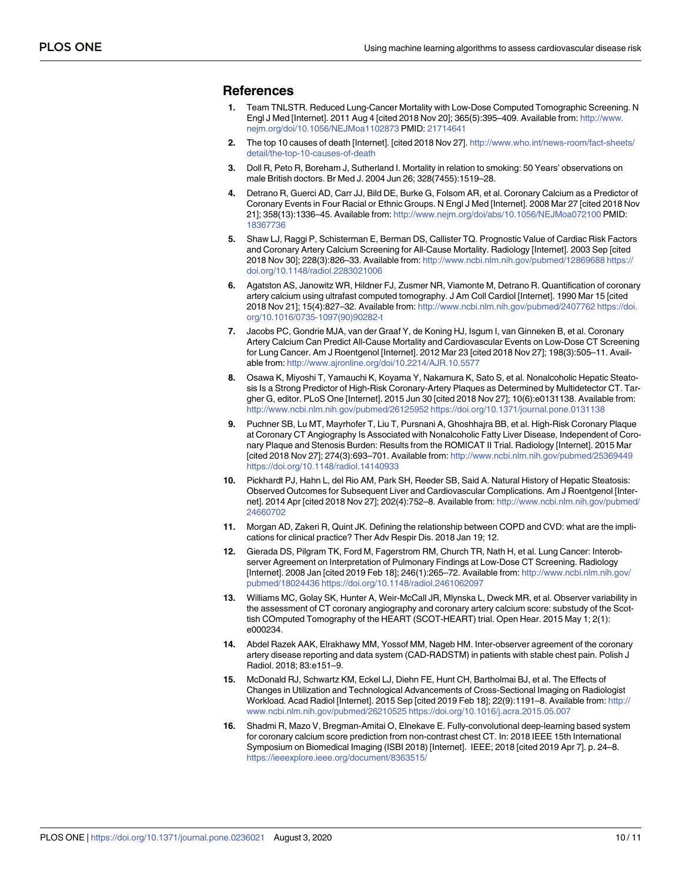#### <span id="page-9-0"></span>**References**

- **[1](#page-1-0).** Team TNLSTR. Reduced Lung-Cancer Mortality with Low-Dose Computed Tomographic Screening. N Engl J Med [Internet]. 2011 Aug 4 [cited 2018 Nov 20]; 365(5):395–409. Available from: [http://www.](http://www.nejm.org/doi/10.1056/NEJMoa1102873) [nejm.org/doi/10.1056/NEJMoa1102873](http://www.nejm.org/doi/10.1056/NEJMoa1102873) PMID: [21714641](http://www.ncbi.nlm.nih.gov/pubmed/21714641)
- **[2](#page-1-0).** The top 10 causes of death [Internet]. [cited 2018 Nov 27]. [http://www.who.int/news-room/fact-sheets/](http://www.who.int/news-room/fact-sheets/detail/the-top-10-causes-of-death) [detail/the-top-10-causes-of-death](http://www.who.int/news-room/fact-sheets/detail/the-top-10-causes-of-death)
- **[3](#page-1-0).** Doll R, Peto R, Boreham J, Sutherland I. Mortality in relation to smoking: 50 Years' observations on male British doctors. Br Med J. 2004 Jun 26; 328(7455):1519–28.
- **[4](#page-1-0).** Detrano R, Guerci AD, Carr JJ, Bild DE, Burke G, Folsom AR, et al. Coronary Calcium as a Predictor of Coronary Events in Four Racial or Ethnic Groups. N Engl J Med [Internet]. 2008 Mar 27 [cited 2018 Nov 21]; 358(13):1336–45. Available from: <http://www.nejm.org/doi/abs/10.1056/NEJMoa072100> PMID: [18367736](http://www.ncbi.nlm.nih.gov/pubmed/18367736)
- **5.** Shaw LJ, Raggi P, Schisterman E, Berman DS, Callister TQ. Prognostic Value of Cardiac Risk Factors and Coronary Artery Calcium Screening for All-Cause Mortality. Radiology [Internet]. 2003 Sep [cited 2018 Nov 30]; 228(3):826–33. Available from: <http://www.ncbi.nlm.nih.gov/pubmed/12869688> [https://](https://doi.org/10.1148/radiol.2283021006) [doi.org/10.1148/radiol.2283021006](https://doi.org/10.1148/radiol.2283021006)
- **[6](#page-1-0).** Agatston AS, Janowitz WR, Hildner FJ, Zusmer NR, Viamonte M, Detrano R. Quantification of coronary artery calcium using ultrafast computed tomography. J Am Coll Cardiol [Internet]. 1990 Mar 15 [cited 2018 Nov 21]; 15(4):827–32. Available from: <http://www.ncbi.nlm.nih.gov/pubmed/2407762> [https://doi.](https://doi.org/10.1016/0735-1097(90)90282-t) [org/10.1016/0735-1097\(90\)90282-t](https://doi.org/10.1016/0735-1097(90)90282-t)
- **[7](#page-1-0).** Jacobs PC, Gondrie MJA, van der Graaf Y, de Koning HJ, Isgum I, van Ginneken B, et al. Coronary Artery Calcium Can Predict All-Cause Mortality and Cardiovascular Events on Low-Dose CT Screening for Lung Cancer. Am J Roentgenol [Internet]. 2012 Mar 23 [cited 2018 Nov 27]; 198(3):505–11. Available from: <http://www.ajronline.org/doi/10.2214/AJR.10.5577>
- **[8](#page-1-0).** Osawa K, Miyoshi T, Yamauchi K, Koyama Y, Nakamura K, Sato S, et al. Nonalcoholic Hepatic Steatosis Is a Strong Predictor of High-Risk Coronary-Artery Plaques as Determined by Multidetector CT. Targher G, editor. PLoS One [Internet]. 2015 Jun 30 [cited 2018 Nov 27]; 10(6):e0131138. Available from: <http://www.ncbi.nlm.nih.gov/pubmed/26125952> <https://doi.org/10.1371/journal.pone.0131138>
- **9.** Puchner SB, Lu MT, Mayrhofer T, Liu T, Pursnani A, Ghoshhajra BB, et al. High-Risk Coronary Plaque at Coronary CT Angiography Is Associated with Nonalcoholic Fatty Liver Disease, Independent of Coronary Plaque and Stenosis Burden: Results from the ROMICAT II Trial. Radiology [Internet]. 2015 Mar [cited 2018 Nov 27]; 274(3):693–701. Available from: <http://www.ncbi.nlm.nih.gov/pubmed/25369449> <https://doi.org/10.1148/radiol.14140933>
- **[10](#page-1-0).** Pickhardt PJ, Hahn L, del Rio AM, Park SH, Reeder SB, Said A. Natural History of Hepatic Steatosis: Observed Outcomes for Subsequent Liver and Cardiovascular Complications. Am J Roentgenol [Internet]. 2014 Apr [cited 2018 Nov 27]; 202(4):752–8. Available from: [http://www.ncbi.nlm.nih.gov/pubmed/](http://www.ncbi.nlm.nih.gov/pubmed/24660702) [24660702](http://www.ncbi.nlm.nih.gov/pubmed/24660702)
- **[11](#page-1-0).** Morgan AD, Zakeri R, Quint JK. Defining the relationship between COPD and CVD: what are the implications for clinical practice? Ther Adv Respir Dis. 2018 Jan 19; 12.
- **[12](#page-1-0).** Gierada DS, Pilgram TK, Ford M, Fagerstrom RM, Church TR, Nath H, et al. Lung Cancer: Interobserver Agreement on Interpretation of Pulmonary Findings at Low-Dose CT Screening. Radiology [Internet]. 2008 Jan [cited 2019 Feb 18]; 246(1):265–72. Available from: [http://www.ncbi.nlm.nih.gov/](http://www.ncbi.nlm.nih.gov/pubmed/18024436) [pubmed/18024436](http://www.ncbi.nlm.nih.gov/pubmed/18024436) <https://doi.org/10.1148/radiol.2461062097>
- **13.** Williams MC, Golay SK, Hunter A, Weir-McCall JR, Mlynska L, Dweck MR, et al. Observer variability in the assessment of CT coronary angiography and coronary artery calcium score: substudy of the Scottish COmputed Tomography of the HEART (SCOT-HEART) trial. Open Hear. 2015 May 1; 2(1): e000234.
- **[14](#page-1-0).** Abdel Razek AAK, Elrakhawy MM, Yossof MM, Nageb HM. Inter-observer agreement of the coronary artery disease reporting and data system (CAD-RADSTM) in patients with stable chest pain. Polish J Radiol. 2018; 83:e151–9.
- **[15](#page-1-0).** McDonald RJ, Schwartz KM, Eckel LJ, Diehn FE, Hunt CH, Bartholmai BJ, et al. The Effects of Changes in Utilization and Technological Advancements of Cross-Sectional Imaging on Radiologist Workload. Acad Radiol [Internet]. 2015 Sep [cited 2019 Feb 18]; 22(9):1191–8. Available from: [http://](http://www.ncbi.nlm.nih.gov/pubmed/26210525) [www.ncbi.nlm.nih.gov/pubmed/26210525](http://www.ncbi.nlm.nih.gov/pubmed/26210525) <https://doi.org/10.1016/j.acra.2015.05.007>
- **[16](#page-3-0).** Shadmi R, Mazo V, Bregman-Amitai O, Elnekave E. Fully-convolutional deep-learning based system for coronary calcium score prediction from non-contrast chest CT. In: 2018 IEEE 15th International Symposium on Biomedical Imaging (ISBI 2018) [Internet]. IEEE; 2018 [cited 2019 Apr 7]. p. 24–8. <https://ieeexplore.ieee.org/document/8363515/>